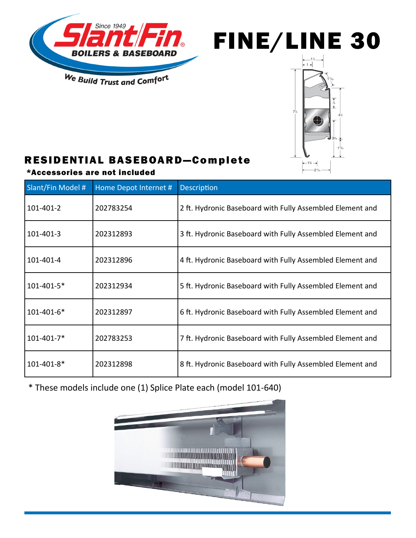



## RESIDENTIAL BASEBOARD—Com plete

## \*Accessories are not included

| <b>Slant/Fin Model #</b> | Home Depot Internet # | Description                                               |
|--------------------------|-----------------------|-----------------------------------------------------------|
| 101-401-2                | 202783254             | 2 ft. Hydronic Baseboard with Fully Assembled Element and |
| 101-401-3                | 202312893             | 3 ft. Hydronic Baseboard with Fully Assembled Element and |
| 101-401-4                | 202312896             | 4 ft. Hydronic Baseboard with Fully Assembled Element and |
| 101-401-5*               | 202312934             | 5 ft. Hydronic Baseboard with Fully Assembled Element and |
| 101-401-6*               | 202312897             | 6 ft. Hydronic Baseboard with Fully Assembled Element and |
| 101-401-7*               | 202783253             | 7 ft. Hydronic Baseboard with Fully Assembled Element and |
| 101-401-8*               | 202312898             | 8 ft. Hydronic Baseboard with Fully Assembled Element and |

\* These models include one (1) Splice Plate each (model 101-640)

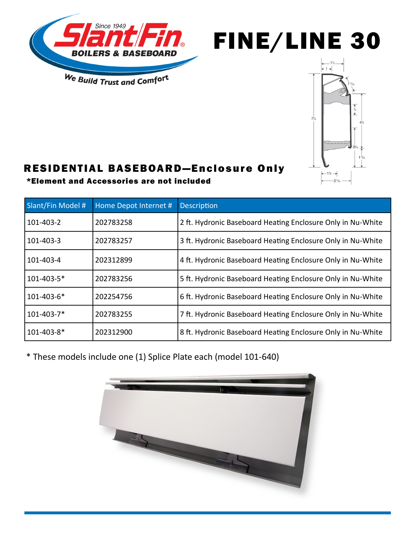





## RESIDENTIAL BASEBOARD—Enclosure Only

\*Element and Accessories are not included

| Slant/Fin Model # | Home Depot Internet # | <b>Description</b>                                          |
|-------------------|-----------------------|-------------------------------------------------------------|
| 101-403-2         | 202783258             | 2 ft. Hydronic Baseboard Heating Enclosure Only in Nu-White |
| 101-403-3         | 202783257             | 3 ft. Hydronic Baseboard Heating Enclosure Only in Nu-White |
| 101-403-4         | 202312899             | 4 ft. Hydronic Baseboard Heating Enclosure Only in Nu-White |
| 101-403-5*        | 202783256             | 5 ft. Hydronic Baseboard Heating Enclosure Only in Nu-White |
| 101-403-6*        | 202254756             | 6 ft. Hydronic Baseboard Heating Enclosure Only in Nu-White |
| 101-403-7*        | 202783255             | 7 ft. Hydronic Baseboard Heating Enclosure Only in Nu-White |
| 101-403-8*        | 202312900             | 8 ft. Hydronic Baseboard Heating Enclosure Only in Nu-White |

\* These models include one (1) Splice Plate each (model 101-640)